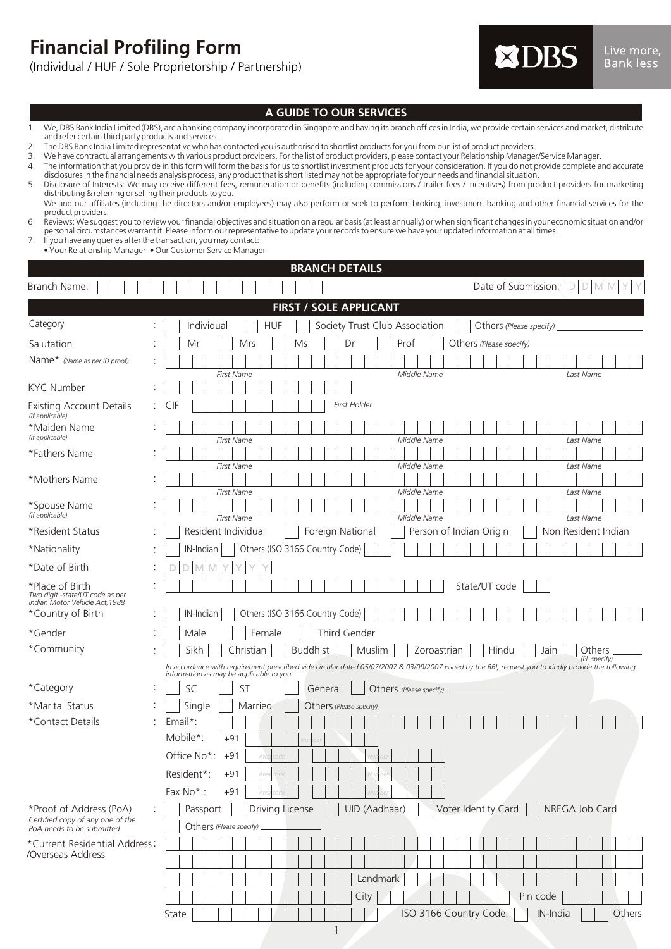**Financial Profiling Form**

(Individual / HUF / Sole Proprietorship / Partnership)



## **A GUIDE TO OUR SERVICES**

- 1. We, DBS Bank India Limited (DBS), are a banking company incorporated in Singapore and having its branch offices in India, we provide certain services and market, distribute and refer certain third party products and services .
- 2. The DBS Bank India Limited representative who has contacted you is authorised to shortlist products for you from our list of product providers.<br>3. We have contractual arrangements with various product providers. For the
- 3. We have contractual arrangements with various product providers. For the list of product providers, please contact your Relationship Manager/Service Manager.
- 4. The information that you provide in this form will form the basis for us to shortlist investment products for your consideration. If you do not provide complete and accurate<br>disclosures in the financial needs analysis p
- 5. Disclosure of Interests: We may receive different fees, remuneration or benefits (including commissions / trailer fees / incentives) from product providers for marketing<br>distributing & referring or selling their product We and our affiliates (including the directors and/or employees) may also perform or seek to perform broking, investment banking and other financial services for the product providers.
- 6. Reviews: We suggest you to review your financial objectives and situation on a regular basis (at least annually) or when significant changes in your economic situation and/or personal circumstances warrant it. Please inform our representative to update your records to ensure we have your updated information at all times.
- 7. If you have any queries after the transaction, you may contact: • Your Relationship Manager • Our Customer Service Manager

|                                                                                          | <b>BRANCH DETAILS</b>                                                                                                                                                                            |
|------------------------------------------------------------------------------------------|--------------------------------------------------------------------------------------------------------------------------------------------------------------------------------------------------|
| Branch Name:                                                                             | Date of Submission:   D   D  <br>M                                                                                                                                                               |
|                                                                                          | FIRST / SOLE APPLICANT                                                                                                                                                                           |
| Category                                                                                 | Individual<br><b>HUF</b><br>Society Trust Club Association<br>Others (Please specify)                                                                                                            |
| Salutation                                                                               | Prof<br>Others (Please specify)<br>Mr<br>Mrs<br>Ms<br>Dr                                                                                                                                         |
| Name* (Name as per ID proof)                                                             | Middle Name<br><b>First Name</b><br>Last Name                                                                                                                                                    |
| <b>KYC Number</b>                                                                        |                                                                                                                                                                                                  |
| <b>Existing Account Details</b><br>(if applicable)                                       | First Holder<br>CIF<br>t.                                                                                                                                                                        |
| *Maiden Name<br>(if applicable)                                                          | <b>First Name</b><br>Middle Name<br>Last Name                                                                                                                                                    |
| *Fathers Name                                                                            | <b>First Name</b><br>Middle Name<br>Last Name                                                                                                                                                    |
| *Mothers Name                                                                            | Middle Name<br><b>First Name</b><br>Last Name                                                                                                                                                    |
| *Spouse Name<br>(if applicable)                                                          | <b>First Name</b><br>Middle Name<br>Last Name                                                                                                                                                    |
| *Resident Status                                                                         | Resident Individual<br>Person of Indian Origin<br>Non Resident Indian<br>Foreign National                                                                                                        |
| *Nationality                                                                             | Others (ISO 3166 Country Code)<br>IN-Indian                                                                                                                                                      |
| *Date of Birth                                                                           |                                                                                                                                                                                                  |
| *Place of Birth<br>Two digit -state/UT code as per<br>Indian Motor Vehicle Act, 1988     | State/UT code                                                                                                                                                                                    |
| *Country of Birth                                                                        | Others (ISO 3166 Country Code)<br>IN-Indian                                                                                                                                                      |
| *Gender                                                                                  | Male<br>Female<br>Third Gender                                                                                                                                                                   |
| *Community                                                                               | Sikh<br>Christian<br><b>Buddhist</b><br>Muslim<br>Zoroastrian<br>Hindu<br>Jain<br>Others<br>(Pl. specify)                                                                                        |
|                                                                                          | In accordance with requirement prescribed vide circular dated 05/07/2007 & 03/09/2007 issued by the RBI, request you to kindly provide the following<br>information as may be applicable to you. |
| *Category                                                                                | SC<br><b>ST</b><br>General<br>Others (Please specify).                                                                                                                                           |
| *Marital Status                                                                          | Single<br>Married<br>Others (Please specify)                                                                                                                                                     |
| *Contact Details                                                                         | Email*:                                                                                                                                                                                          |
|                                                                                          | Mobile*:<br>$+91$                                                                                                                                                                                |
|                                                                                          | Office No*:<br>$+91$                                                                                                                                                                             |
|                                                                                          | $\mathbf{1}$ and $\mathbf{1}$ and $\mathbf{1}$ and $\mathbf{1}$<br>Resident*:<br>+91<br>ЮC                                                                                                       |
|                                                                                          | Fax No*:<br>$+91$                                                                                                                                                                                |
| *Proof of Address (PoA)<br>Certified copy of any one of the<br>PoA needs to be submitted | UID (Aadhaar)<br>Voter Identity Card<br>÷.<br>Driving License<br>NREGA Job Card<br>Passport<br>Others (Please specify)                                                                           |
| *Current Residential Address:                                                            |                                                                                                                                                                                                  |
| /Overseas Address                                                                        |                                                                                                                                                                                                  |
|                                                                                          | Landmark                                                                                                                                                                                         |
|                                                                                          | Pin code<br>City                                                                                                                                                                                 |
|                                                                                          | ISO 3166 Country Code:<br>Others<br>IN-India<br>State                                                                                                                                            |

1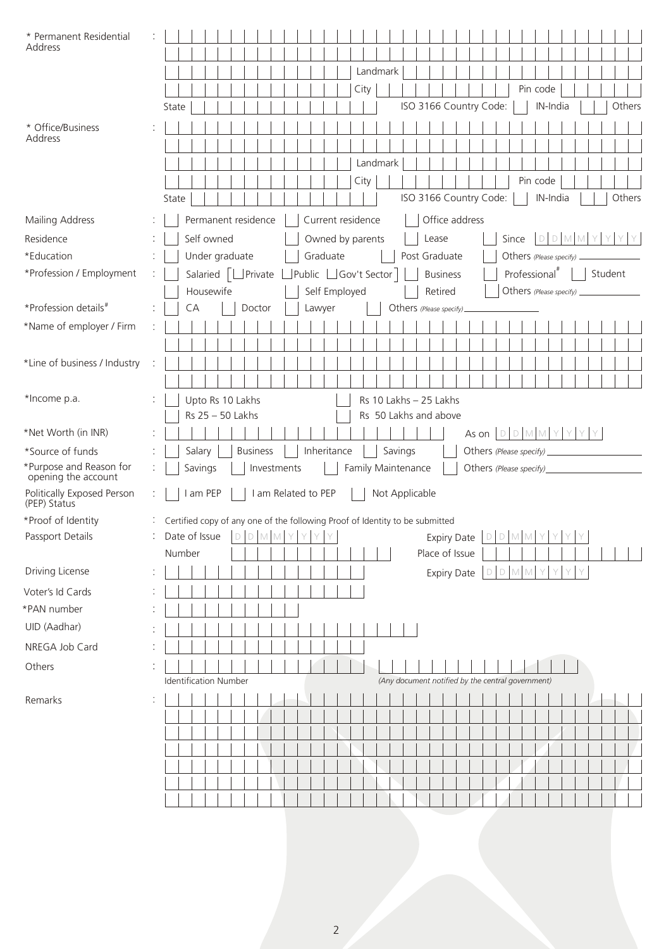| * Permanent Residential<br>Address             |                                                                                                             |  |
|------------------------------------------------|-------------------------------------------------------------------------------------------------------------|--|
|                                                | Landmark                                                                                                    |  |
|                                                | Pin code<br>City                                                                                            |  |
|                                                | ISO 3166 Country Code:<br>IN-India<br>Others<br>State                                                       |  |
|                                                |                                                                                                             |  |
| * Office/Business<br>Address                   |                                                                                                             |  |
|                                                | Landmark                                                                                                    |  |
|                                                | City<br>Pin code                                                                                            |  |
|                                                | ISO 3166 Country Code:<br>Others<br>IN-India<br>State                                                       |  |
|                                                |                                                                                                             |  |
| Mailing Address                                | Office address<br>Permanent residence<br>Current residence                                                  |  |
| Residence                                      | Self owned<br>Owned by parents<br>DDMM<br>Y<br>Lease<br>Since<br>Y.<br>Y.                                   |  |
| *Education                                     | Graduate<br>Under graduate<br>Post Graduate<br>Others (Please specify)                                      |  |
| *Profession / Employment                       | Public Gov't Sector<br>Professional <sup>#</sup><br>Student<br>Salaried   UPrivate L<br><b>Business</b>     |  |
| *Profession details#                           | Housewife<br>Self Employed<br>Retired<br>Others (Please specify)                                            |  |
|                                                | CA<br>Doctor<br>Lawyer<br>Others (Please specify)                                                           |  |
| *Name of employer / Firm                       |                                                                                                             |  |
|                                                |                                                                                                             |  |
| *Line of business / Industry                   |                                                                                                             |  |
| *Income p.a.                                   |                                                                                                             |  |
|                                                | Upto Rs 10 Lakhs<br>Rs 10 Lakhs - 25 Lakhs<br>Rs 25 - 50 Lakhs<br>Rs 50 Lakhs and above                     |  |
| *Net Worth (in INR)                            | As on $D D M M Y Y Y$                                                                                       |  |
| *Source of funds                               | Inheritance<br>Salary<br><b>Business</b><br>Savings<br>Others (Please specify)                              |  |
| *Purpose and Reason for<br>opening the account | Savings<br>Investments<br>Family Maintenance<br>Others (Please specify)                                     |  |
| Politically Exposed Person<br>(PEP) Status     | I am PEP<br>I am Related to PEP<br>Not Applicable                                                           |  |
| *Proof of Identity                             | : Certified copy of any one of the following Proof of Identity to be submitted                              |  |
| Passport Details                               | Date of Issue<br>Y<br>Y<br>$D$ M M<br>Y<br>Y<br>$D$ M M<br>Y<br>Y<br>Y<br>Y<br><b>Expiry Date</b><br>D<br>D |  |
|                                                | Number<br>Place of Issue                                                                                    |  |
| Driving License                                | DDMMYYYY<br><b>Expiry Date</b>                                                                              |  |
| Voter's Id Cards                               |                                                                                                             |  |
| *PAN number                                    |                                                                                                             |  |
| UID (Aadhar)                                   |                                                                                                             |  |
| NREGA Job Card                                 |                                                                                                             |  |
| Others                                         |                                                                                                             |  |
|                                                | (Any document notified by the central government)<br><b>Identification Number</b>                           |  |
| Remarks                                        |                                                                                                             |  |
|                                                |                                                                                                             |  |
|                                                |                                                                                                             |  |
|                                                |                                                                                                             |  |
|                                                |                                                                                                             |  |
|                                                |                                                                                                             |  |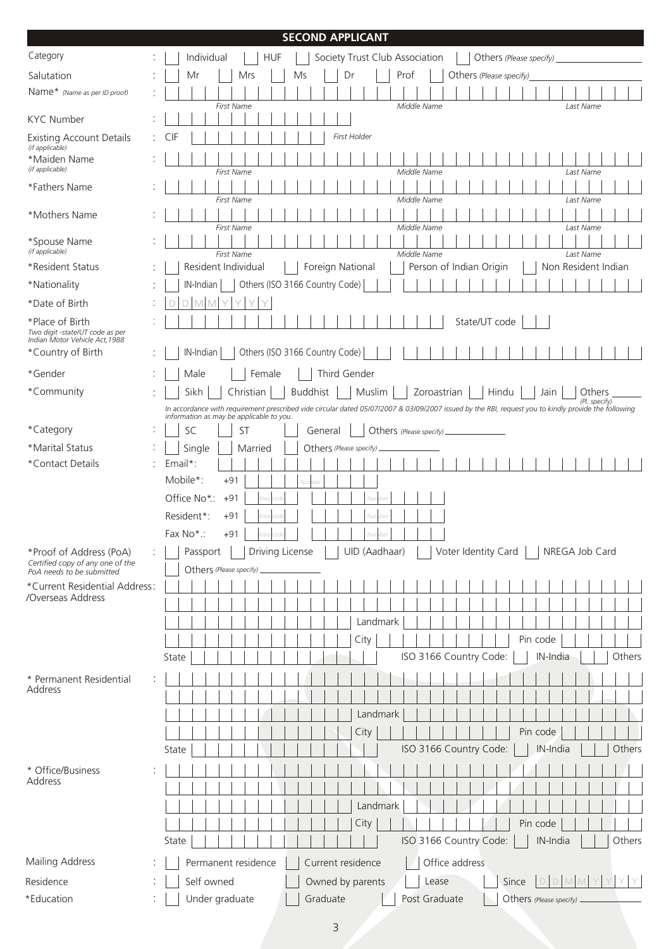# **SECOND APPLICANT**

| Category                                                          |    | Individual<br><b>HUF</b><br>Society Trust Club Association                                                                                           | Others (Please specify)          |
|-------------------------------------------------------------------|----|------------------------------------------------------------------------------------------------------------------------------------------------------|----------------------------------|
| Salutation                                                        |    | Prof<br>Mr<br>Mrs<br>Ms<br>Dr                                                                                                                        | Others (Please specify)          |
| Name* (Name as per ID proof)                                      |    | Middle Name<br><b>First Name</b>                                                                                                                     | Last Name                        |
| <b>KYC Number</b>                                                 |    |                                                                                                                                                      |                                  |
| Existing Account Details<br>(if applicable)                       | ÷. | First Holder<br>CIF                                                                                                                                  |                                  |
| *Maiden Name<br>(if applicable)                                   |    | First Name<br>Middle Name                                                                                                                            | Last Name                        |
| *Fathers Name                                                     |    | Middle Name<br><b>First Name</b>                                                                                                                     | Last Name                        |
| *Mothers Name                                                     |    |                                                                                                                                                      |                                  |
| *Spouse Name<br>(if applicable)                                   |    | <b>First Name</b><br>Middle Name                                                                                                                     | Last Name                        |
| *Resident Status                                                  |    | <b>First Name</b><br>Middle Name<br>Resident Individual<br>Person of Indian Origin<br>Foreign National                                               | Last Name<br>Non Resident Indian |
| *Nationality                                                      |    | Others (ISO 3166 Country Code)<br>IN-Indian                                                                                                          |                                  |
| *Date of Birth                                                    |    |                                                                                                                                                      |                                  |
| *Place of Birth                                                   |    |                                                                                                                                                      | State/UT code                    |
| Two digit -state/UT code as per<br>Indian Motor Vehicle Act, 1988 |    |                                                                                                                                                      |                                  |
| *Country of Birth                                                 |    | Others (ISO 3166 Country Code)<br>IN-Indian                                                                                                          |                                  |
| *Gender                                                           |    | Third Gender<br>Female<br>Male                                                                                                                       |                                  |
| *Community                                                        |    | Sikh<br><b>Buddhist</b><br>Christian<br>Muslim<br>Zoroastrian                                                                                        | Hindu<br>Jain<br><b>Others</b>   |
|                                                                   |    | In accordance with requirement prescribed vide circular dated 05/07/2007 & 03/09/2007 issued by the RBI, request you to kindly provide the following | (Pl. specify)                    |
| *Category                                                         |    | information as may be applicable to you.<br>SC<br>ST<br>General<br>Others (Please specify).                                                          |                                  |
| *Marital Status                                                   |    | Single<br>Married<br>Others (Please specify)                                                                                                         |                                  |
| *Contact Details                                                  |    | Email*:                                                                                                                                              |                                  |
|                                                                   |    | Mobile*:<br>$+91$                                                                                                                                    |                                  |
|                                                                   |    | Office No*:<br>$+91$                                                                                                                                 |                                  |
|                                                                   |    | Resident*:<br>$+91$                                                                                                                                  |                                  |
|                                                                   |    | Fax No*:<br>$+91$                                                                                                                                    |                                  |
| *Proof of Address (PoA)                                           |    | Driving License<br>UID (Aadhaar)<br>Voter Identity Card<br>Passport                                                                                  | NREGA Job Card                   |
| Certified copy of any one of the                                  |    | Others (Please specify)                                                                                                                              |                                  |
| PoA needs to be submitted<br>*Current Residential Address         |    |                                                                                                                                                      |                                  |
| /Overseas Address                                                 |    |                                                                                                                                                      |                                  |
|                                                                   |    |                                                                                                                                                      |                                  |
|                                                                   |    | Landmark                                                                                                                                             |                                  |
|                                                                   |    | City                                                                                                                                                 | Pin code                         |
|                                                                   |    | ISO 3166 Country Code:<br>State                                                                                                                      | Others<br>IN-India               |
| * Permanent Residential                                           |    |                                                                                                                                                      |                                  |
| Address                                                           |    |                                                                                                                                                      |                                  |
|                                                                   |    | Landmark                                                                                                                                             |                                  |
|                                                                   |    | City                                                                                                                                                 | Pin code                         |
|                                                                   |    | ISO 3166 Country Code:<br>State                                                                                                                      | IN-India<br>Others               |
| * Office/Business                                                 |    |                                                                                                                                                      |                                  |
| Address                                                           |    |                                                                                                                                                      |                                  |
|                                                                   |    |                                                                                                                                                      |                                  |
|                                                                   |    | Landmark                                                                                                                                             |                                  |
|                                                                   |    | City                                                                                                                                                 | Pin code                         |
|                                                                   |    | ISO 3166 Country Code:<br>State                                                                                                                      | Others<br>IN-India               |
| Mailing Address                                                   |    | Current residence<br>Office address<br>Permanent residence                                                                                           |                                  |
| Residence                                                         |    | Self owned<br>Owned by parents<br>Lease                                                                                                              | Y Y<br>Since                     |
| *Education                                                        |    | Under graduate<br>Graduate<br>Post Graduate                                                                                                          | Others (Please specify)          |
|                                                                   |    |                                                                                                                                                      |                                  |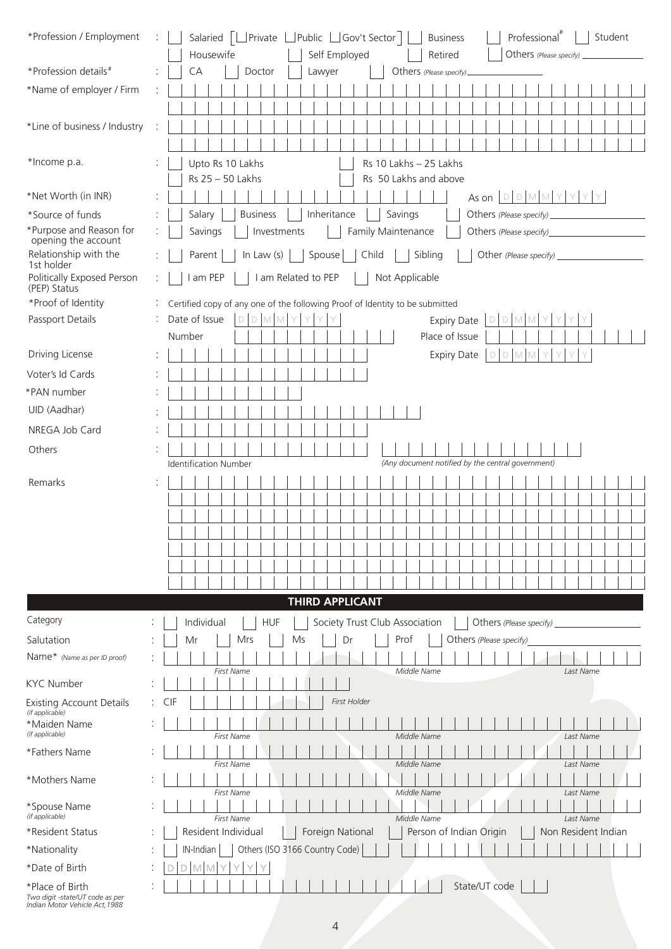| *Profession / Employment                                                             | Salaried   Private Levelic Le Gov't Sector<br>Professional <sup>"</sup><br>Student<br><b>Business</b>           |
|--------------------------------------------------------------------------------------|-----------------------------------------------------------------------------------------------------------------|
|                                                                                      | Housewife<br>Self Employed<br>Retired<br>Others (Please specify)                                                |
| *Profession details#                                                                 | CA<br>Doctor<br>Lawyer<br>Others (Please specify)_                                                              |
| *Name of employer / Firm                                                             |                                                                                                                 |
|                                                                                      |                                                                                                                 |
| *Line of business / Industry                                                         |                                                                                                                 |
|                                                                                      |                                                                                                                 |
| *Income p.a.                                                                         | Upto Rs 10 Lakhs<br>Rs 10 Lakhs - 25 Lakhs                                                                      |
|                                                                                      | Rs 25 - 50 Lakhs<br>Rs 50 Lakhs and above                                                                       |
| *Net Worth (in INR)                                                                  | As on $D D M M Y Y Y$                                                                                           |
| *Source of funds<br>*Purpose and Reason for                                          | <b>Business</b><br>Inheritance<br>Savings<br>Salary<br>Family Maintenance<br>Savings<br>Others (Please specify) |
| opening the account                                                                  | Investments                                                                                                     |
| Relationship with the<br>1st holder                                                  | Spouse<br>Child<br>Sibling<br>Parent<br>In Law $(s)$                                                            |
| Politically Exposed Person<br>(PEP) Status                                           | I am PEP<br>I am Related to PEP<br>Not Applicable                                                               |
| *Proof of Identity                                                                   | Certified copy of any one of the following Proof of Identity to be submitted                                    |
| Passport Details                                                                     | Date of Issue<br>DDMMY<br>D M<br><b>Expiry Date</b><br>$\mathbb{D}$<br>M<br>Y                                   |
|                                                                                      | Number<br>Place of Issue                                                                                        |
| Driving License                                                                      | <b>Expiry Date</b><br>M M<br>$\Box$<br>Y<br>$\Box$<br>Y                                                         |
| Voter's Id Cards                                                                     |                                                                                                                 |
| *PAN number                                                                          |                                                                                                                 |
| UID (Aadhar)                                                                         |                                                                                                                 |
| NREGA Job Card                                                                       |                                                                                                                 |
| Others                                                                               |                                                                                                                 |
|                                                                                      | (Any document notified by the central government)<br><b>Identification Number</b>                               |
| Remarks                                                                              |                                                                                                                 |
|                                                                                      |                                                                                                                 |
|                                                                                      |                                                                                                                 |
|                                                                                      |                                                                                                                 |
|                                                                                      |                                                                                                                 |
|                                                                                      |                                                                                                                 |
|                                                                                      |                                                                                                                 |
|                                                                                      | <b>THIRD APPLICANT</b>                                                                                          |
| Category                                                                             | Individual<br><b>HUF</b><br>Society Trust Club Association<br>Others (Please specify)                           |
| Salutation                                                                           | Mr<br>Mrs<br>Ms<br>Dr<br>Prof<br>Others (Please specify)                                                        |
| Name* (Name as per ID proof)                                                         | Middle Name<br>Last Name<br><b>First Name</b>                                                                   |
| <b>KYC Number</b>                                                                    |                                                                                                                 |
| <b>Existing Account Details</b><br>(if applicable)                                   | First Holder<br><b>CIF</b>                                                                                      |
| *Maiden Name                                                                         |                                                                                                                 |
| (if applicable)<br>*Fathers Name                                                     | First Name<br>Middle Name<br>Last Name                                                                          |
|                                                                                      | First Name<br>Middle Name<br>Last Name                                                                          |
| *Mothers Name                                                                        |                                                                                                                 |
| *Spouse Name                                                                         | First Name<br>Middle Name<br>Last Name                                                                          |
| (if applicable)                                                                      | First Name<br>Middle Name<br>Last Name                                                                          |
| *Resident Status                                                                     | Resident Individual<br>Foreign National<br>Person of Indian Origin<br>Non Resident Indian                       |
| *Nationality                                                                         | Others (ISO 3166 Country Code)<br>IN-Indian                                                                     |
| *Date of Birth                                                                       | Y.<br>M<br>M<br>Y                                                                                               |
| *Place of Birth<br>Two digit -state/UT code as per<br>Indian Motor Vehicle Act, 1988 | State/UT code                                                                                                   |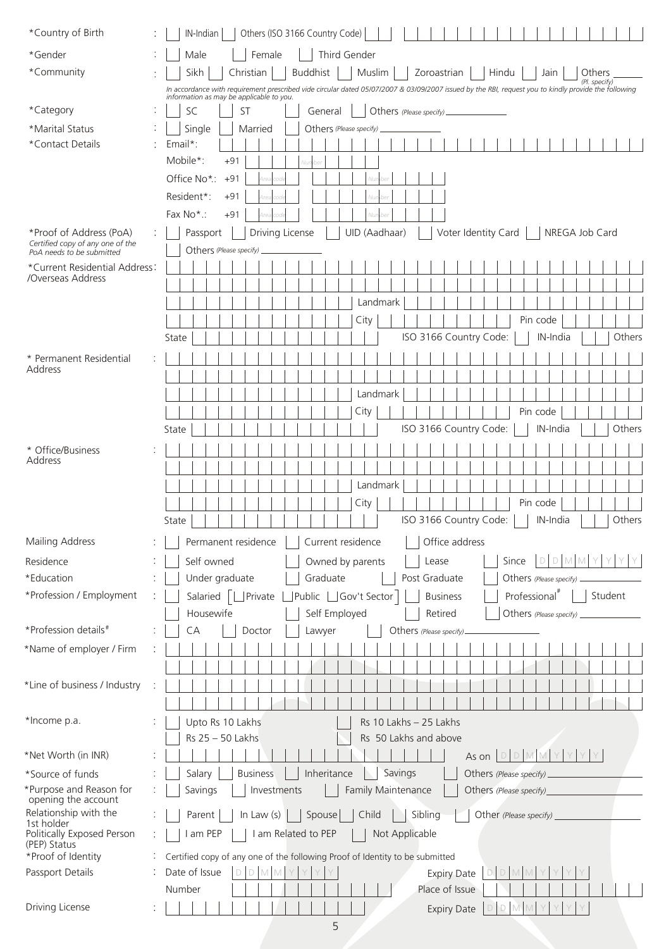| *Country of Birth                                           | Others (ISO 3166 Country Code)<br>IN-Indian                                                                                                                                                                       |  |
|-------------------------------------------------------------|-------------------------------------------------------------------------------------------------------------------------------------------------------------------------------------------------------------------|--|
| *Gender                                                     | Third Gender<br>Male<br>Female                                                                                                                                                                                    |  |
| *Community                                                  | Sikh<br><b>Buddhist</b><br>Muslim<br>Zoroastrian<br>Christian<br>Hindu<br>Jain<br>Others                                                                                                                          |  |
|                                                             | (Pl. specify)<br>In accordance with requirement prescribed vide circular dated 05/07/2007 & 03/09/2007 issued by the RBI, request you to kindly provide the following<br>information as may be applicable to you. |  |
| *Category                                                   | SC<br><b>ST</b><br>Others (Please specify).<br>General                                                                                                                                                            |  |
| *Marital Status                                             | Single<br>Married<br>Others (Please specify)                                                                                                                                                                      |  |
| *Contact Details                                            | Email*:                                                                                                                                                                                                           |  |
|                                                             | Mobile*:<br>$+91$                                                                                                                                                                                                 |  |
|                                                             | Office No*:<br>$+91$                                                                                                                                                                                              |  |
|                                                             | Resident*:<br>$+91$                                                                                                                                                                                               |  |
|                                                             | Fax No*:<br>$+91$                                                                                                                                                                                                 |  |
| *Proof of Address (PoA)<br>Certified copy of any one of the | UID (Aadhaar)<br>Voter Identity Card<br>Driving License<br>NREGA Job Card<br>Passport                                                                                                                             |  |
| PoA needs to be submitted                                   | Others (Please specify)                                                                                                                                                                                           |  |
| *Current Residential Address:<br>/Overseas Address          |                                                                                                                                                                                                                   |  |
|                                                             |                                                                                                                                                                                                                   |  |
|                                                             | Landmark                                                                                                                                                                                                          |  |
|                                                             | Pin code<br>City<br>IN-India                                                                                                                                                                                      |  |
|                                                             | ISO 3166 Country Code:<br>Others<br>State                                                                                                                                                                         |  |
| * Permanent Residential<br>Address                          |                                                                                                                                                                                                                   |  |
|                                                             |                                                                                                                                                                                                                   |  |
|                                                             | Landmark                                                                                                                                                                                                          |  |
|                                                             | City<br>Pin code                                                                                                                                                                                                  |  |
|                                                             | ISO 3166 Country Code:<br>Others<br>IN-India<br>State                                                                                                                                                             |  |
| * Office/Business<br>Address                                |                                                                                                                                                                                                                   |  |
|                                                             |                                                                                                                                                                                                                   |  |
|                                                             | Landmark                                                                                                                                                                                                          |  |
|                                                             | City<br>Pin code                                                                                                                                                                                                  |  |
|                                                             | ISO 3166 Country Code:<br>IN-India<br>Others<br>State                                                                                                                                                             |  |
| Mailing Address                                             | Permanent residence<br>Current residence<br>Office address                                                                                                                                                        |  |
| Residence                                                   | Owned by parents<br>DDMMY<br>Self owned<br>Lease<br>Since                                                                                                                                                         |  |
| *Education                                                  | Under graduate<br>Graduate<br>Post Graduate<br>Others (Please specify)                                                                                                                                            |  |
| *Profession / Employment                                    | Public <b>Gov't Sector</b><br>Student<br>Salaried  <br>Private<br><b>Business</b><br>Professional <sup>#</sup>                                                                                                    |  |
|                                                             | Self Employed<br>Retired<br>Housewife<br>Others (Please specify)                                                                                                                                                  |  |
| *Profession details#                                        | Doctor<br>CA<br>Others (Please specify)<br>Lawyer                                                                                                                                                                 |  |
| *Name of employer / Firm                                    |                                                                                                                                                                                                                   |  |
|                                                             |                                                                                                                                                                                                                   |  |
| *Line of business / Industry                                |                                                                                                                                                                                                                   |  |
|                                                             |                                                                                                                                                                                                                   |  |
|                                                             |                                                                                                                                                                                                                   |  |
| *Income p.a.                                                | Upto Rs 10 Lakhs<br>Rs 10 Lakhs - 25 Lakhs                                                                                                                                                                        |  |
|                                                             | Rs 25 - 50 Lakhs<br>Rs 50 Lakhs and above                                                                                                                                                                         |  |
| *Net Worth (in INR)                                         | D M M<br>Y.<br>Y<br>As on $ D $                                                                                                                                                                                   |  |
| *Source of funds                                            | Inheritance<br><b>Business</b><br>Savings<br>Salary<br>Others (Please specify)                                                                                                                                    |  |
| *Purpose and Reason for<br>opening the account              | Family Maintenance<br>Savings<br>Investments<br>Others (Please specify)                                                                                                                                           |  |
| Relationship with the<br>1st holder                         | In Law $(s)$<br>Spouse<br>Child<br>Sibling<br>Parent<br>Other (Please specify)                                                                                                                                    |  |
| Politically Exposed Person                                  | I am PEP<br>I am Related to PEP<br>Not Applicable                                                                                                                                                                 |  |
| (PEP) Status<br>*Proof of Identity                          | Certified copy of any one of the following Proof of Identity to be submitted                                                                                                                                      |  |
| Passport Details                                            | Date of Issue<br>D<br><b>Expiry Date</b><br>M                                                                                                                                                                     |  |
| Driving License                                             | Place of Issue<br>Number                                                                                                                                                                                          |  |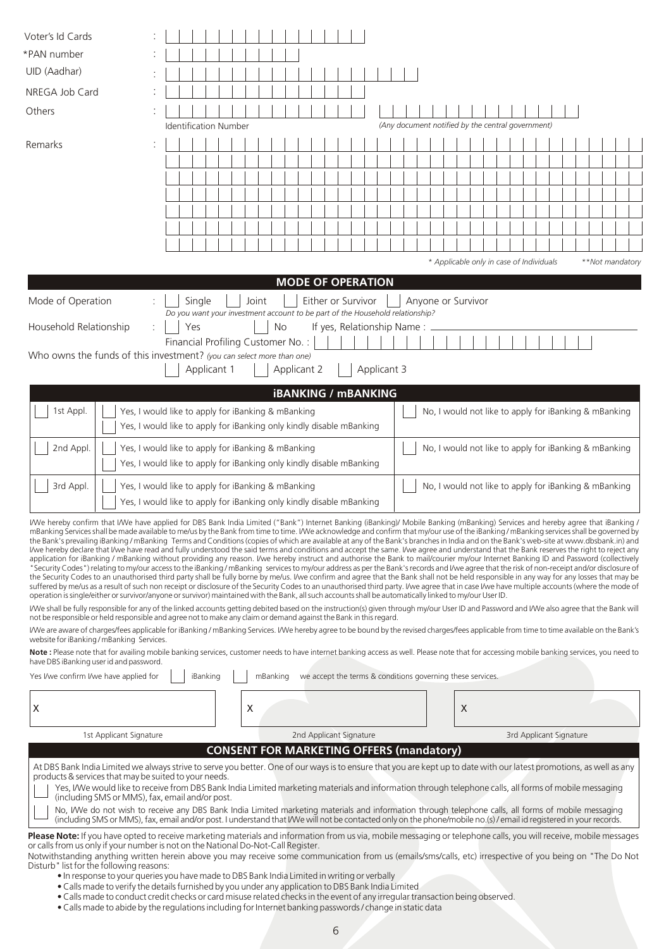| Voter's Id Cards                                                                                                                                                                                                                                                                                                                                                                                                                                                                                                                                                                                                                                                                                                                                                                                                                                                                                                                                                                                                                                                                                                                                                                                                                                                                                                                                                                                                                                                                                                                                                                                                                                                                                                                                                                                                                                                                                                                                                                                                                                                                                                                                                                                                                                                                                                                                                                                                                                                                                                                                              |  |                                                                               |     |             |  |                                                 |  |       |  |                            |                                                            |  |                    |             |                                                   |  |   |  |  |                                          |  |  |                                                       |                 |
|---------------------------------------------------------------------------------------------------------------------------------------------------------------------------------------------------------------------------------------------------------------------------------------------------------------------------------------------------------------------------------------------------------------------------------------------------------------------------------------------------------------------------------------------------------------------------------------------------------------------------------------------------------------------------------------------------------------------------------------------------------------------------------------------------------------------------------------------------------------------------------------------------------------------------------------------------------------------------------------------------------------------------------------------------------------------------------------------------------------------------------------------------------------------------------------------------------------------------------------------------------------------------------------------------------------------------------------------------------------------------------------------------------------------------------------------------------------------------------------------------------------------------------------------------------------------------------------------------------------------------------------------------------------------------------------------------------------------------------------------------------------------------------------------------------------------------------------------------------------------------------------------------------------------------------------------------------------------------------------------------------------------------------------------------------------------------------------------------------------------------------------------------------------------------------------------------------------------------------------------------------------------------------------------------------------------------------------------------------------------------------------------------------------------------------------------------------------------------------------------------------------------------------------------------------------|--|-------------------------------------------------------------------------------|-----|-------------|--|-------------------------------------------------|--|-------|--|----------------------------|------------------------------------------------------------|--|--------------------|-------------|---------------------------------------------------|--|---|--|--|------------------------------------------|--|--|-------------------------------------------------------|-----------------|
| *PAN number                                                                                                                                                                                                                                                                                                                                                                                                                                                                                                                                                                                                                                                                                                                                                                                                                                                                                                                                                                                                                                                                                                                                                                                                                                                                                                                                                                                                                                                                                                                                                                                                                                                                                                                                                                                                                                                                                                                                                                                                                                                                                                                                                                                                                                                                                                                                                                                                                                                                                                                                                   |  |                                                                               |     |             |  |                                                 |  |       |  |                            |                                                            |  |                    |             |                                                   |  |   |  |  |                                          |  |  |                                                       |                 |
| UID (Aadhar)                                                                                                                                                                                                                                                                                                                                                                                                                                                                                                                                                                                                                                                                                                                                                                                                                                                                                                                                                                                                                                                                                                                                                                                                                                                                                                                                                                                                                                                                                                                                                                                                                                                                                                                                                                                                                                                                                                                                                                                                                                                                                                                                                                                                                                                                                                                                                                                                                                                                                                                                                  |  |                                                                               |     |             |  |                                                 |  |       |  |                            |                                                            |  |                    |             |                                                   |  |   |  |  |                                          |  |  |                                                       |                 |
| NREGA Job Card                                                                                                                                                                                                                                                                                                                                                                                                                                                                                                                                                                                                                                                                                                                                                                                                                                                                                                                                                                                                                                                                                                                                                                                                                                                                                                                                                                                                                                                                                                                                                                                                                                                                                                                                                                                                                                                                                                                                                                                                                                                                                                                                                                                                                                                                                                                                                                                                                                                                                                                                                |  |                                                                               |     |             |  |                                                 |  |       |  |                            |                                                            |  |                    |             |                                                   |  |   |  |  |                                          |  |  |                                                       |                 |
| Others                                                                                                                                                                                                                                                                                                                                                                                                                                                                                                                                                                                                                                                                                                                                                                                                                                                                                                                                                                                                                                                                                                                                                                                                                                                                                                                                                                                                                                                                                                                                                                                                                                                                                                                                                                                                                                                                                                                                                                                                                                                                                                                                                                                                                                                                                                                                                                                                                                                                                                                                                        |  |                                                                               |     |             |  |                                                 |  |       |  |                            |                                                            |  |                    |             |                                                   |  |   |  |  |                                          |  |  |                                                       |                 |
|                                                                                                                                                                                                                                                                                                                                                                                                                                                                                                                                                                                                                                                                                                                                                                                                                                                                                                                                                                                                                                                                                                                                                                                                                                                                                                                                                                                                                                                                                                                                                                                                                                                                                                                                                                                                                                                                                                                                                                                                                                                                                                                                                                                                                                                                                                                                                                                                                                                                                                                                                               |  | <b>Identification Number</b>                                                  |     |             |  |                                                 |  |       |  |                            |                                                            |  |                    |             | (Any document notified by the central government) |  |   |  |  |                                          |  |  |                                                       |                 |
| Remarks                                                                                                                                                                                                                                                                                                                                                                                                                                                                                                                                                                                                                                                                                                                                                                                                                                                                                                                                                                                                                                                                                                                                                                                                                                                                                                                                                                                                                                                                                                                                                                                                                                                                                                                                                                                                                                                                                                                                                                                                                                                                                                                                                                                                                                                                                                                                                                                                                                                                                                                                                       |  |                                                                               |     |             |  |                                                 |  |       |  |                            |                                                            |  |                    |             |                                                   |  |   |  |  |                                          |  |  |                                                       |                 |
|                                                                                                                                                                                                                                                                                                                                                                                                                                                                                                                                                                                                                                                                                                                                                                                                                                                                                                                                                                                                                                                                                                                                                                                                                                                                                                                                                                                                                                                                                                                                                                                                                                                                                                                                                                                                                                                                                                                                                                                                                                                                                                                                                                                                                                                                                                                                                                                                                                                                                                                                                               |  |                                                                               |     |             |  |                                                 |  |       |  |                            |                                                            |  |                    |             |                                                   |  |   |  |  |                                          |  |  |                                                       |                 |
|                                                                                                                                                                                                                                                                                                                                                                                                                                                                                                                                                                                                                                                                                                                                                                                                                                                                                                                                                                                                                                                                                                                                                                                                                                                                                                                                                                                                                                                                                                                                                                                                                                                                                                                                                                                                                                                                                                                                                                                                                                                                                                                                                                                                                                                                                                                                                                                                                                                                                                                                                               |  |                                                                               |     |             |  |                                                 |  |       |  |                            |                                                            |  |                    |             |                                                   |  |   |  |  |                                          |  |  |                                                       |                 |
|                                                                                                                                                                                                                                                                                                                                                                                                                                                                                                                                                                                                                                                                                                                                                                                                                                                                                                                                                                                                                                                                                                                                                                                                                                                                                                                                                                                                                                                                                                                                                                                                                                                                                                                                                                                                                                                                                                                                                                                                                                                                                                                                                                                                                                                                                                                                                                                                                                                                                                                                                               |  |                                                                               |     |             |  |                                                 |  |       |  |                            |                                                            |  |                    |             |                                                   |  |   |  |  |                                          |  |  |                                                       |                 |
|                                                                                                                                                                                                                                                                                                                                                                                                                                                                                                                                                                                                                                                                                                                                                                                                                                                                                                                                                                                                                                                                                                                                                                                                                                                                                                                                                                                                                                                                                                                                                                                                                                                                                                                                                                                                                                                                                                                                                                                                                                                                                                                                                                                                                                                                                                                                                                                                                                                                                                                                                               |  |                                                                               |     |             |  |                                                 |  |       |  |                            |                                                            |  |                    |             |                                                   |  |   |  |  |                                          |  |  |                                                       |                 |
|                                                                                                                                                                                                                                                                                                                                                                                                                                                                                                                                                                                                                                                                                                                                                                                                                                                                                                                                                                                                                                                                                                                                                                                                                                                                                                                                                                                                                                                                                                                                                                                                                                                                                                                                                                                                                                                                                                                                                                                                                                                                                                                                                                                                                                                                                                                                                                                                                                                                                                                                                               |  |                                                                               |     |             |  |                                                 |  |       |  |                            |                                                            |  |                    |             |                                                   |  |   |  |  |                                          |  |  |                                                       |                 |
|                                                                                                                                                                                                                                                                                                                                                                                                                                                                                                                                                                                                                                                                                                                                                                                                                                                                                                                                                                                                                                                                                                                                                                                                                                                                                                                                                                                                                                                                                                                                                                                                                                                                                                                                                                                                                                                                                                                                                                                                                                                                                                                                                                                                                                                                                                                                                                                                                                                                                                                                                               |  |                                                                               |     |             |  |                                                 |  |       |  |                            |                                                            |  |                    |             |                                                   |  |   |  |  | * Applicable only in case of Individuals |  |  |                                                       | **Not mandatory |
|                                                                                                                                                                                                                                                                                                                                                                                                                                                                                                                                                                                                                                                                                                                                                                                                                                                                                                                                                                                                                                                                                                                                                                                                                                                                                                                                                                                                                                                                                                                                                                                                                                                                                                                                                                                                                                                                                                                                                                                                                                                                                                                                                                                                                                                                                                                                                                                                                                                                                                                                                               |  |                                                                               |     |             |  |                                                 |  |       |  | <b>MODE OF OPERATION</b>   |                                                            |  |                    |             |                                                   |  |   |  |  |                                          |  |  |                                                       |                 |
| Mode of Operation                                                                                                                                                                                                                                                                                                                                                                                                                                                                                                                                                                                                                                                                                                                                                                                                                                                                                                                                                                                                                                                                                                                                                                                                                                                                                                                                                                                                                                                                                                                                                                                                                                                                                                                                                                                                                                                                                                                                                                                                                                                                                                                                                                                                                                                                                                                                                                                                                                                                                                                                             |  |                                                                               |     | Single      |  |                                                 |  | Joint |  |                            |                                                            |  | Either or Survivor |             | Anyone or Survivor                                |  |   |  |  |                                          |  |  |                                                       |                 |
|                                                                                                                                                                                                                                                                                                                                                                                                                                                                                                                                                                                                                                                                                                                                                                                                                                                                                                                                                                                                                                                                                                                                                                                                                                                                                                                                                                                                                                                                                                                                                                                                                                                                                                                                                                                                                                                                                                                                                                                                                                                                                                                                                                                                                                                                                                                                                                                                                                                                                                                                                               |  | Do you want your investment account to be part of the Household relationship? |     |             |  |                                                 |  |       |  |                            |                                                            |  |                    |             |                                                   |  |   |  |  |                                          |  |  |                                                       |                 |
| Household Relationship                                                                                                                                                                                                                                                                                                                                                                                                                                                                                                                                                                                                                                                                                                                                                                                                                                                                                                                                                                                                                                                                                                                                                                                                                                                                                                                                                                                                                                                                                                                                                                                                                                                                                                                                                                                                                                                                                                                                                                                                                                                                                                                                                                                                                                                                                                                                                                                                                                                                                                                                        |  |                                                                               | Yes |             |  |                                                 |  |       |  | No                         |                                                            |  |                    |             | If yes, Relationship Name:                        |  |   |  |  |                                          |  |  |                                                       |                 |
| Who owns the funds of this investment? (you can select more than one)                                                                                                                                                                                                                                                                                                                                                                                                                                                                                                                                                                                                                                                                                                                                                                                                                                                                                                                                                                                                                                                                                                                                                                                                                                                                                                                                                                                                                                                                                                                                                                                                                                                                                                                                                                                                                                                                                                                                                                                                                                                                                                                                                                                                                                                                                                                                                                                                                                                                                         |  | Financial Profiling Customer No.:                                             |     |             |  |                                                 |  |       |  |                            |                                                            |  |                    |             |                                                   |  |   |  |  |                                          |  |  |                                                       |                 |
|                                                                                                                                                                                                                                                                                                                                                                                                                                                                                                                                                                                                                                                                                                                                                                                                                                                                                                                                                                                                                                                                                                                                                                                                                                                                                                                                                                                                                                                                                                                                                                                                                                                                                                                                                                                                                                                                                                                                                                                                                                                                                                                                                                                                                                                                                                                                                                                                                                                                                                                                                               |  |                                                                               |     | Applicant 1 |  |                                                 |  |       |  | Applicant 2                |                                                            |  |                    | Applicant 3 |                                                   |  |   |  |  |                                          |  |  |                                                       |                 |
|                                                                                                                                                                                                                                                                                                                                                                                                                                                                                                                                                                                                                                                                                                                                                                                                                                                                                                                                                                                                                                                                                                                                                                                                                                                                                                                                                                                                                                                                                                                                                                                                                                                                                                                                                                                                                                                                                                                                                                                                                                                                                                                                                                                                                                                                                                                                                                                                                                                                                                                                                               |  |                                                                               |     |             |  |                                                 |  |       |  | <b>iBANKING / mBANKING</b> |                                                            |  |                    |             |                                                   |  |   |  |  |                                          |  |  |                                                       |                 |
| 1st Appl.<br>Yes, I would like to apply for iBanking & mBanking<br>Yes, I would like to apply for iBanking only kindly disable mBanking                                                                                                                                                                                                                                                                                                                                                                                                                                                                                                                                                                                                                                                                                                                                                                                                                                                                                                                                                                                                                                                                                                                                                                                                                                                                                                                                                                                                                                                                                                                                                                                                                                                                                                                                                                                                                                                                                                                                                                                                                                                                                                                                                                                                                                                                                                                                                                                                                       |  |                                                                               |     |             |  |                                                 |  |       |  |                            |                                                            |  |                    |             |                                                   |  |   |  |  |                                          |  |  | No, I would not like to apply for iBanking & mBanking |                 |
| 2nd Appl.<br>Yes, I would like to apply for iBanking & mBanking<br>Yes, I would like to apply for iBanking only kindly disable mBanking                                                                                                                                                                                                                                                                                                                                                                                                                                                                                                                                                                                                                                                                                                                                                                                                                                                                                                                                                                                                                                                                                                                                                                                                                                                                                                                                                                                                                                                                                                                                                                                                                                                                                                                                                                                                                                                                                                                                                                                                                                                                                                                                                                                                                                                                                                                                                                                                                       |  |                                                                               |     |             |  |                                                 |  |       |  |                            |                                                            |  |                    |             |                                                   |  |   |  |  |                                          |  |  | No, I would not like to apply for iBanking & mBanking |                 |
|                                                                                                                                                                                                                                                                                                                                                                                                                                                                                                                                                                                                                                                                                                                                                                                                                                                                                                                                                                                                                                                                                                                                                                                                                                                                                                                                                                                                                                                                                                                                                                                                                                                                                                                                                                                                                                                                                                                                                                                                                                                                                                                                                                                                                                                                                                                                                                                                                                                                                                                                                               |  |                                                                               |     |             |  |                                                 |  |       |  |                            |                                                            |  |                    |             |                                                   |  |   |  |  |                                          |  |  |                                                       |                 |
| 3rd Appl.<br>Yes, I would like to apply for iBanking & mBanking<br>Yes, I would like to apply for iBanking only kindly disable mBanking                                                                                                                                                                                                                                                                                                                                                                                                                                                                                                                                                                                                                                                                                                                                                                                                                                                                                                                                                                                                                                                                                                                                                                                                                                                                                                                                                                                                                                                                                                                                                                                                                                                                                                                                                                                                                                                                                                                                                                                                                                                                                                                                                                                                                                                                                                                                                                                                                       |  |                                                                               |     |             |  |                                                 |  |       |  |                            |                                                            |  |                    |             |                                                   |  |   |  |  |                                          |  |  | No, I would not like to apply for iBanking & mBanking |                 |
| I/We hereby confirm that I/We have applied for DBS Bank India Limited ("Bank") Internet Banking (iBanking)/ Mobile Banking (mBanking) Services and hereby agree that iBanking /<br>mBanking Services shall be made available to me/us by the Bank from time to time. I/We acknowledge and confirm that my/our use of the iBanking/mBanking services shall be governed by<br>the Bank's prevailing iBanking / mBanking Terms and Conditions (copies of which are available at any of the Bank's branches in India and on the Bank's web-site at www.dbsbank.in) and<br>I/we hereby declare that I/we have read and fully understood the said terms and conditions and accept the same. I/we agree and understand that the Bank reserves the right to reject any<br>application for iBanking / mBanking without providing any reason. I/we hereby instruct and authorise the Bank to mail/courier my/our Internet Banking ID and Password (collectively<br>"Security Codes") relating to my/our access to the iBanking / mBanking services to my/our address as per the Bank's records and I/we agree that the risk of non-receipt and/or disclosure of<br>the Security Codes to an unauthorised third party shall be fully borne by me/us. I/we confirm and agree that the Bank shall not be held responsible in any way for any losses that may be<br>suffered by me/us as a result of such non receipt or disclosure of the Security Codes to an unauthorised third party. I/we agree that in case I/we have multiple accounts (where the mode of<br>operation is single/either or survivor/anyone or survivor) maintained with the Bank, all such accounts shall be automatically linked to my/our User ID.<br>I/We shall be fully responsible for any of the linked accounts getting debited based on the instruction(s) given through my/our User ID and Password and I/We also agree that the Bank will<br>not be responsible or held responsible and agree not to make any claim or demand against the Bank in this regard.<br>I/We are aware of charges/fees applicable for iBanking / mBanking Services. I/We hereby agree to be bound by the revised charges/fees applicable from time to time available on the Bank's<br>website for iBanking / mBanking Services.<br>Note: Please note that for availing mobile banking services, customer needs to have internet banking access as well. Please note that for accessing mobile banking services, you need to<br>have DBS iBanking user id and password.<br>Yes I/we confirm I/we have applied for |  |                                                                               |     | iBanking    |  |                                                 |  |       |  | mBanking                   | we accept the terms & conditions governing these services. |  |                    |             |                                                   |  |   |  |  |                                          |  |  |                                                       |                 |
| Χ                                                                                                                                                                                                                                                                                                                                                                                                                                                                                                                                                                                                                                                                                                                                                                                                                                                                                                                                                                                                                                                                                                                                                                                                                                                                                                                                                                                                                                                                                                                                                                                                                                                                                                                                                                                                                                                                                                                                                                                                                                                                                                                                                                                                                                                                                                                                                                                                                                                                                                                                                             |  |                                                                               |     |             |  |                                                 |  | X     |  |                            |                                                            |  |                    |             |                                                   |  | X |  |  |                                          |  |  |                                                       |                 |
| 2nd Applicant Signature<br>1st Applicant Signature<br>3rd Applicant Signature                                                                                                                                                                                                                                                                                                                                                                                                                                                                                                                                                                                                                                                                                                                                                                                                                                                                                                                                                                                                                                                                                                                                                                                                                                                                                                                                                                                                                                                                                                                                                                                                                                                                                                                                                                                                                                                                                                                                                                                                                                                                                                                                                                                                                                                                                                                                                                                                                                                                                 |  |                                                                               |     |             |  |                                                 |  |       |  |                            |                                                            |  |                    |             |                                                   |  |   |  |  |                                          |  |  |                                                       |                 |
|                                                                                                                                                                                                                                                                                                                                                                                                                                                                                                                                                                                                                                                                                                                                                                                                                                                                                                                                                                                                                                                                                                                                                                                                                                                                                                                                                                                                                                                                                                                                                                                                                                                                                                                                                                                                                                                                                                                                                                                                                                                                                                                                                                                                                                                                                                                                                                                                                                                                                                                                                               |  |                                                                               |     |             |  | <b>CONSENT FOR MARKETING OFFERS (mandatory)</b> |  |       |  |                            |                                                            |  |                    |             |                                                   |  |   |  |  |                                          |  |  |                                                       |                 |
| At DBS Bank India Limited we always strive to serve you better. One of our ways is to ensure that you are kept up to date with our latest promotions, as well as any<br>products & services that may be suited to your needs.<br>Yes, I/We would like to receive from DBS Bank India Limited marketing materials and information through telephone calls, all forms of mobile messaging<br>(including SMS or MMS), fax, email and/or post.<br>No, I/We do not wish to receive any DBS Bank India Limited marketing materials and information through telephone calls, all forms of mobile messaging                                                                                                                                                                                                                                                                                                                                                                                                                                                                                                                                                                                                                                                                                                                                                                                                                                                                                                                                                                                                                                                                                                                                                                                                                                                                                                                                                                                                                                                                                                                                                                                                                                                                                                                                                                                                                                                                                                                                                           |  |                                                                               |     |             |  |                                                 |  |       |  |                            |                                                            |  |                    |             |                                                   |  |   |  |  |                                          |  |  |                                                       |                 |
| (including SMS or MMS), fax, email and/or post. I understand that I/We will not be contacted only on the phone/mobile no.(s) / email id registered in your records.<br>Please Note: If you have opted to receive marketing materials and information from us via, mobile messaging or telephone calls, you will receive, mobile messages                                                                                                                                                                                                                                                                                                                                                                                                                                                                                                                                                                                                                                                                                                                                                                                                                                                                                                                                                                                                                                                                                                                                                                                                                                                                                                                                                                                                                                                                                                                                                                                                                                                                                                                                                                                                                                                                                                                                                                                                                                                                                                                                                                                                                      |  |                                                                               |     |             |  |                                                 |  |       |  |                            |                                                            |  |                    |             |                                                   |  |   |  |  |                                          |  |  |                                                       |                 |
| or calls from us only if your number is not on the National Do-Not-Call Register.<br>Notwithstanding anything written herein above you may receive some communication from us (emails/sms/calls, etc) irrespective of you being on "The Do Not<br>Disturb" list for the following reasons:<br>• In response to your queries you have made to DBS Bank India Limited in writing or verbally                                                                                                                                                                                                                                                                                                                                                                                                                                                                                                                                                                                                                                                                                                                                                                                                                                                                                                                                                                                                                                                                                                                                                                                                                                                                                                                                                                                                                                                                                                                                                                                                                                                                                                                                                                                                                                                                                                                                                                                                                                                                                                                                                                    |  |                                                                               |     |             |  |                                                 |  |       |  |                            |                                                            |  |                    |             |                                                   |  |   |  |  |                                          |  |  |                                                       |                 |

- 
- Calls made to verify the details furnished by you under any application to DBS Bank India Limited
- Calls made to conduct credit checks or card misuse related checks in the event of any irregular transaction being observed.
- Calls made to abide by the regulations including for Internet banking passwords / change in static data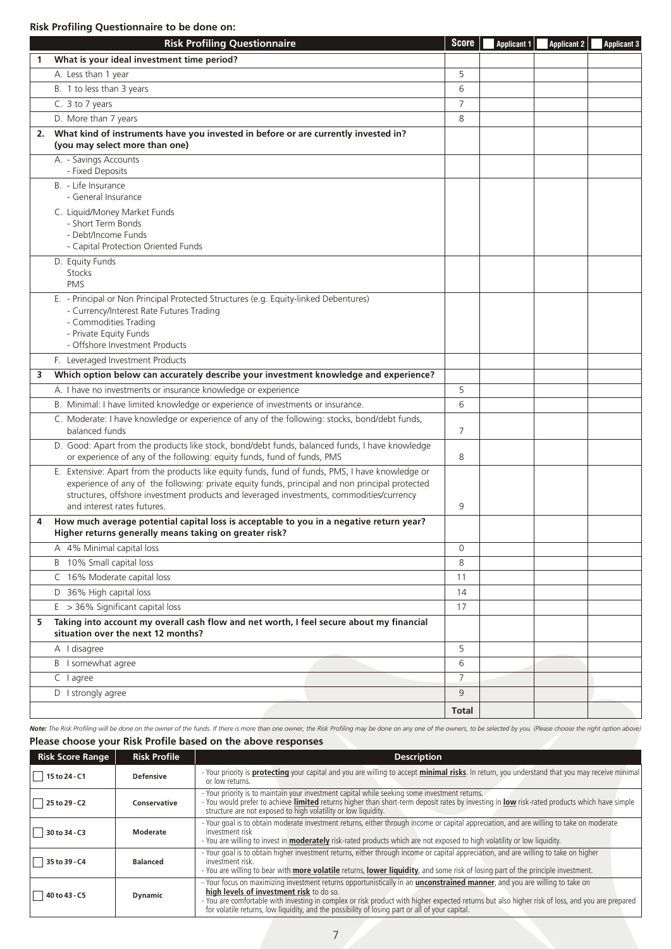## **Risk Profiling Questionnaire to be done on:**

|              | <b>Risk Profiling Questionnaire</b>                                                                                                                                                                                                                                                                                            | <b>Score</b>   | <b>Applicant 1</b> | <b>Applicant 2</b> | <b>Applicant 3</b> |
|--------------|--------------------------------------------------------------------------------------------------------------------------------------------------------------------------------------------------------------------------------------------------------------------------------------------------------------------------------|----------------|--------------------|--------------------|--------------------|
| $\mathbf{1}$ | What is your ideal investment time period?                                                                                                                                                                                                                                                                                     |                |                    |                    |                    |
|              | A. Less than 1 year                                                                                                                                                                                                                                                                                                            | 5              |                    |                    |                    |
|              | B. 1 to less than 3 years                                                                                                                                                                                                                                                                                                      | 6              |                    |                    |                    |
|              | C. 3 to 7 years                                                                                                                                                                                                                                                                                                                | $\overline{7}$ |                    |                    |                    |
|              | D. More than 7 years                                                                                                                                                                                                                                                                                                           | 8              |                    |                    |                    |
| 2.           | What kind of instruments have you invested in before or are currently invested in?<br>(you may select more than one)                                                                                                                                                                                                           |                |                    |                    |                    |
|              | A. - Savings Accounts<br>- Fixed Deposits                                                                                                                                                                                                                                                                                      |                |                    |                    |                    |
|              | B. - Life Insurance<br>- General Insurance                                                                                                                                                                                                                                                                                     |                |                    |                    |                    |
|              | C. Liquid/Money Market Funds<br>- Short Term Bonds<br>- Debt/Income Funds<br>- Capital Protection Oriented Funds                                                                                                                                                                                                               |                |                    |                    |                    |
|              | D. Equity Funds<br>Stocks<br><b>PMS</b>                                                                                                                                                                                                                                                                                        |                |                    |                    |                    |
|              | E. - Principal or Non Principal Protected Structures (e.g. Equity-linked Debentures)<br>- Currency/Interest Rate Futures Trading<br>- Commodities Trading<br>- Private Equity Funds<br>- Offshore Investment Products                                                                                                          |                |                    |                    |                    |
|              | F. Leveraged Investment Products                                                                                                                                                                                                                                                                                               |                |                    |                    |                    |
| з            | Which option below can accurately describe your investment knowledge and experience?                                                                                                                                                                                                                                           |                |                    |                    |                    |
|              | A. I have no investments or insurance knowledge or experience                                                                                                                                                                                                                                                                  | 5              |                    |                    |                    |
|              | B. Minimal: I have limited knowledge or experience of investments or insurance.                                                                                                                                                                                                                                                | 6              |                    |                    |                    |
|              | C. Moderate: I have knowledge or experience of any of the following: stocks, bond/debt funds,<br>balanced funds                                                                                                                                                                                                                | 7              |                    |                    |                    |
|              | D. Good: Apart from the products like stock, bond/debt funds, balanced funds, I have knowledge<br>or experience of any of the following: equity funds, fund of funds, PMS                                                                                                                                                      | 8              |                    |                    |                    |
|              | E. Extensive: Apart from the products like equity funds, fund of funds, PMS, I have knowledge or<br>experience of any of the following: private equity funds, principal and non principal protected<br>structures, offshore investment products and leveraged investments, commodities/currency<br>and interest rates futures. | 9              |                    |                    |                    |
| 4            | How much average potential capital loss is acceptable to you in a negative return year?<br>Higher returns generally means taking on greater risk?                                                                                                                                                                              |                |                    |                    |                    |
|              | A 4% Minimal capital loss                                                                                                                                                                                                                                                                                                      | 0              |                    |                    |                    |
|              | B 10% Small capital loss                                                                                                                                                                                                                                                                                                       | 8              |                    |                    |                    |
|              | C 16% Moderate capital loss                                                                                                                                                                                                                                                                                                    | 11             |                    |                    |                    |
|              | D 36% High capital loss                                                                                                                                                                                                                                                                                                        | 14             |                    |                    |                    |
|              | $E > 36\%$ Significant capital loss                                                                                                                                                                                                                                                                                            | 17             |                    |                    |                    |
| 5            | Taking into account my overall cash flow and net worth, I feel secure about my financial<br>situation over the next 12 months?                                                                                                                                                                                                 |                |                    |                    |                    |
|              | A I disagree                                                                                                                                                                                                                                                                                                                   | 5              |                    |                    |                    |
|              | B I somewhat agree                                                                                                                                                                                                                                                                                                             | 6              |                    |                    |                    |
|              | C lagree                                                                                                                                                                                                                                                                                                                       | $\overline{7}$ |                    |                    |                    |
|              | D I strongly agree                                                                                                                                                                                                                                                                                                             | 9              |                    |                    |                    |
|              |                                                                                                                                                                                                                                                                                                                                | <b>Total</b>   |                    |                    |                    |

 **Please choose your Risk Profile based on the above responses** Note: The Risk Profiling will be done on the owner of the funds. If there is more than one owner, the Risk Profiling may be done on any one of the owners, to be selected by you. (Please choose the right option above)

| <b>Risk Score Range</b> | <b>Risk Profile</b> | <b>Description</b>                                                                                                                                                                                                                                                                                                                                                                                                                   |
|-------------------------|---------------------|--------------------------------------------------------------------------------------------------------------------------------------------------------------------------------------------------------------------------------------------------------------------------------------------------------------------------------------------------------------------------------------------------------------------------------------|
| 15 to 24 - C1           | <b>Defensive</b>    | - Your priority is <b>protecting</b> your capital and you are willing to accept minimal risks. In return, you understand that you may receive minimal<br>or low returns.                                                                                                                                                                                                                                                             |
| 25 to 29 - C2           | Conservative        | - Your priority is to maintain your investment capital while seeking some investment returns.<br>- You would prefer to achieve limited returns higher than short-term deposit rates by investing in low risk-rated products which have simple<br>structure are not exposed to high volatility or low liquidity.                                                                                                                      |
| 30 to 34 - C3           | Moderate            | - Your goal is to obtain moderate investment returns, either through income or capital appreciation, and are willing to take on moderate<br>investment risk<br>- You are willing to invest in <b>moderately</b> risk-rated products which are not exposed to high volatility or low liquidity.                                                                                                                                       |
| 35 to 39 - C4           | <b>Balanced</b>     | - Your goal is to obtain higher investment returns, either through income or capital appreciation, and are willing to take on higher<br>investment risk.<br>- You are willing to bear with more volatile returns, lower liquidity, and some risk of losing part of the principle investment.                                                                                                                                         |
| 40 to 43 - C5           | <b>Dynamic</b>      | - Your focus on maximizing investment returns opportunistically in an <b>unconstrained manner</b> , and you are willing to take on<br>high levels of investment risk to do so.<br>- You are comfortable with investing in complex or risk product with higher expected returns but also higher risk of loss, and you are prepared<br>for volatile returns, low liquidity, and the possibility of losing part or all of your capital. |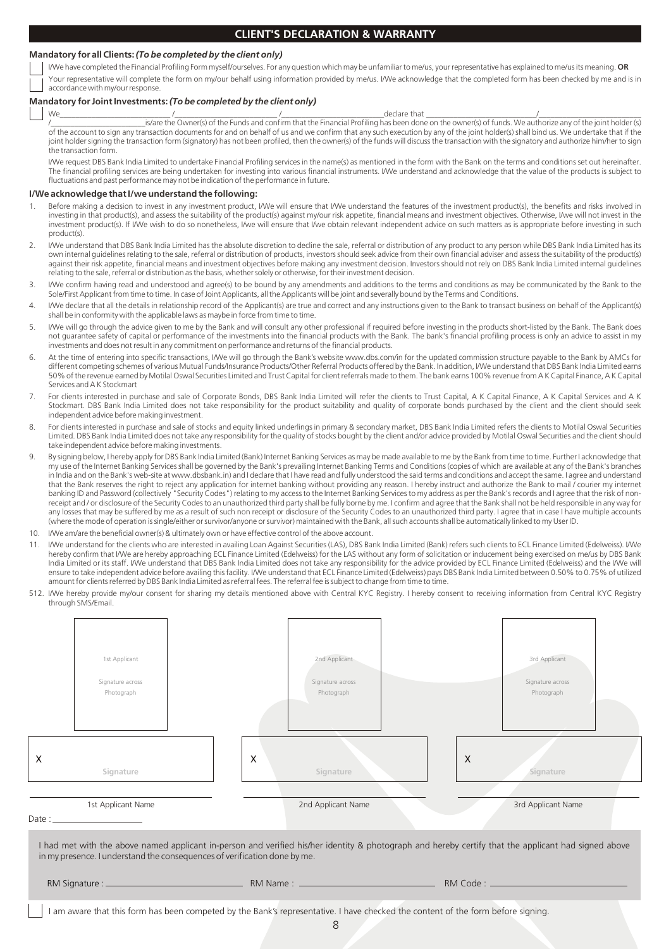## **CLIENT'S DECLARATION & WARRANTY**

#### **Mandatory for all Clients:**  *(To be completed by the client only)*

I/We have completed the Financial Profiling Form myself/ourselves. For any question which may be unfamiliar to me/us, your representative has explained to me/us its meaning. **OR** Your representative will complete the form on my/our behalf using information provided by me/us. I/We acknowledge that the completed form has been checked by me and is in accordance with my/our response.

### **Mandatory for Joint Investments:** *(To be completed by the client only)*

We\_\_\_\_\_\_\_\_\_\_\_\_\_\_\_\_\_\_\_\_\_\_\_\_\_\_\_\_ /\_\_\_\_\_\_\_\_\_\_\_\_\_\_\_\_\_\_\_\_\_\_\_\_\_\_ /\_\_\_\_\_\_\_\_\_\_\_\_\_\_\_\_\_\_\_\_\_\_\_\_\_\_declare that \_\_\_\_\_\_\_\_\_\_\_\_\_\_\_\_\_\_\_\_\_\_\_\_\_\_\_\_/\_\_\_\_\_\_\_\_\_\_\_\_\_\_\_\_\_\_\_\_\_\_\_\_\_\_ /\_\_\_\_\_\_\_\_\_\_\_\_\_\_\_\_\_\_\_\_\_\_\_\_is/are the Owner(s) of the Funds and confirm that the Financial Profiling has been done on the owner(s) of funds. We authorize any of the joint holder (s) of the account to sign any transaction documents for and on behalf of us and we confirm that any such execution by any of the joint holder(s) shall bind us. We undertake that if the joint holder signing the transaction form (signatory) has not been profiled, then the owner(s) of the funds will discuss the transaction with the signatory and authorize him/her to sign the transaction form.

I/We request DBS Bank India Limited to undertake Financial Profiling services in the name(s) as mentioned in the form with the Bank on the terms and conditions set out hereinafter. The financial profiling services are being undertaken for investing into various financial instruments. I/We understand and acknowledge that the value of the products is subject to fluctuations and past performance may not be indication of the performance in future.

#### **I/We acknowledge that I/we understand the following:**

- Before making a decision to invest in any investment product, I/We will ensure that I/We understand the features of the investment product(s), the benefits and risks involved in investing in that product(s), and assess the suitability of the product(s) against my/our risk appetite, financial means and investment objectives. Otherwise, I/we will not invest in the investment product(s). If I/We wish to do so nonetheless, I/we will ensure that I/we obtain relevant independent advice on such matters as is appropriate before investing in such product(s)
- 2. I/We understand that DBS Bank India Limited has the absolute discretion to decline the sale, referral or distribution of any product to any person while DBS Bank India Limited has its own internal guidelines relating to the sale, referral or distribution of products, investors should seek advice from their own financial adviser and assess the suitability of the product(s) against their risk appetite, financial means and investment objectives before making any investment decision. Investors should not rely on DBS Bank India Limited internal guidelines relating to the sale, referral or distribution as the basis, whether solely or otherwise, for their investment decision.
- I/We confirm having read and understood and agree(s) to be bound by any amendments and additions to the terms and conditions as may be communicated by the Bank to the Sole/First Applicant from time to time. In case of Joint Applicants, all the Applicants will be joint and severally bound by the Terms and Conditions.
- 4. I/We declare that all the details in relationship record of the Applicant(s) are true and correct and any instructions given to the Bank to transact business on behalf of the Applicant(s) shall be in conformity with the applicable laws as maybe in force from time to time.
- 5. I/We will go through the advice given to me by the Bank and will consult any other professional if required before investing in the products short-listed by the Bank. The Bank does not guarantee safety of capital or performance of the investments into the financial products with the Bank. The bank's financial profiling process is only an advice to assist in my investments and does not result in any commitment on performance and returns of the financial products.
- 6. At the time of entering into specific transactions, I/We will go through the Bank's website www.dbs.com/in for the updated commission structure payable to the Bank by AMCs for different competing schemes of various Mutual Funds/Insurance Products/Other Referral Products offered by the Bank. In addition, I/We understand that DBS Bank India Limited earns 50% of the revenue earned by Motilal Oswal Securities Limited and Trust Capital for client referrals made to them. The bank earns 100% revenue from A K Capital Finance, A K Capital Services and A K Stockmart
- 7. For clients interested in purchase and sale of Corporate Bonds, DBS Bank India Limited will refer the clients to Trust Capital, A K Capital Finance, A K Capital Services and A K Stockmart. DBS Bank India Limited does not take responsibility for the product suitability and quality of corporate bonds purchased by the client and the client should seek independent advice before making investment.
- 8. For clients interested in purchase and sale of stocks and equity linked underlings in primary & secondary market, DBS Bank India Limited refers the clients to Motilal Oswal Securities Limited. DBS Bank India Limited does not take any responsibility for the quality of stocks bought by the client and/or advice provided by Motilal Oswal Securities and the client should take independent advice before making investments.
- 9. By signing below, I hereby apply for DBS Bank India Limited (Bank) Internet Banking Services as may be made available to me by the Bank from time to time. Further I acknowledge that my use of the Internet Banking Services shall be governed by the Bank's prevailing Internet Banking Terms and Conditions (copies of which are available at any of the Bank's branches in India and on the Bank's web-site at www.dbsbank.in) and I declare that I have read and fully understood the said terms and conditions and accept the same. I agree and understand that the Bank reserves the right to reject any application for internet banking without providing any reason. I hereby instruct and authorize the Bank to mail / courier my internet banking ID and Password (collectively "Security Codes") relating to my access to the Internet Banking Services to my address as per the Bank's records and I agree that the risk of nonreceipt and / or disclosure of the Security Codes to an unauthorized third party shall be fully borne by me. I confirm and agree that the Bank shall not be held responsible in any way for any losses that may be suffered by me as a result of such non receipt or disclosure of the Security Codes to an unauthorized third party. I agree that in case I have multiple accounts (where the mode of operation is single/either or survivor/anyone or survivor) maintained with the Bank, all such accounts shall be automatically linked to my User ID.
- 10. I/We am/are the beneficial owner(s) & ultimately own or have effective control of the above account.
- 11. I/We understand for the clients who are interested in availing Loan Against Securities (LAS), DBS Bank India Limited (Bank) refers such clients to ECL Finance Limited (Edelweiss). I/We hereby confirm that I/We are hereby approaching ECL Finance Limited (Edelweiss) for the LAS without any form of solicitation or inducement being exercised on me/us by DBS Bank India Limited or its staff. I/We understand that DBS Bank India Limited does not take any responsibility for the advice provided by ECL Finance Limited (Edelweiss) and the I/We will ensure to take independent advice before availing this facility. I/We understand that ECL Finance Limited (Edelweiss) pays DBS Bank India Limited between 0.50% to 0.75% of utilized amount for clients referred by DBS Bank India Limited as referral fees. The referral fee is subject to change from time to time.
- 512. I/We hereby provide my/our consent for sharing my details mentioned above with Central KYC Registry. I hereby consent to receiving information from Central KYC Registry through SMS/Email.

| 1st Applicant<br>Signature across<br>Photograph                           | 2nd Applicant<br>Signature across<br>Photograph                                                                                                      | 3rd Applicant<br>Signature across<br>Photograph |
|---------------------------------------------------------------------------|------------------------------------------------------------------------------------------------------------------------------------------------------|-------------------------------------------------|
| Х<br>Signature                                                            | $\times$<br>Signature                                                                                                                                | $\times$<br>Signature                           |
| 1st Applicant Name                                                        | 2nd Applicant Name                                                                                                                                   | 3rd Applicant Name                              |
| in my presence. I understand the consequences of verification done by me. | I had met with the above named applicant in-person and verified his/her identity & photograph and hereby certify that the applicant had signed above |                                                 |
|                                                                           |                                                                                                                                                      |                                                 |
|                                                                           | I am aware that this form has been competed by the Bank's representative. I have checked the content of the form before signing.                     |                                                 |

8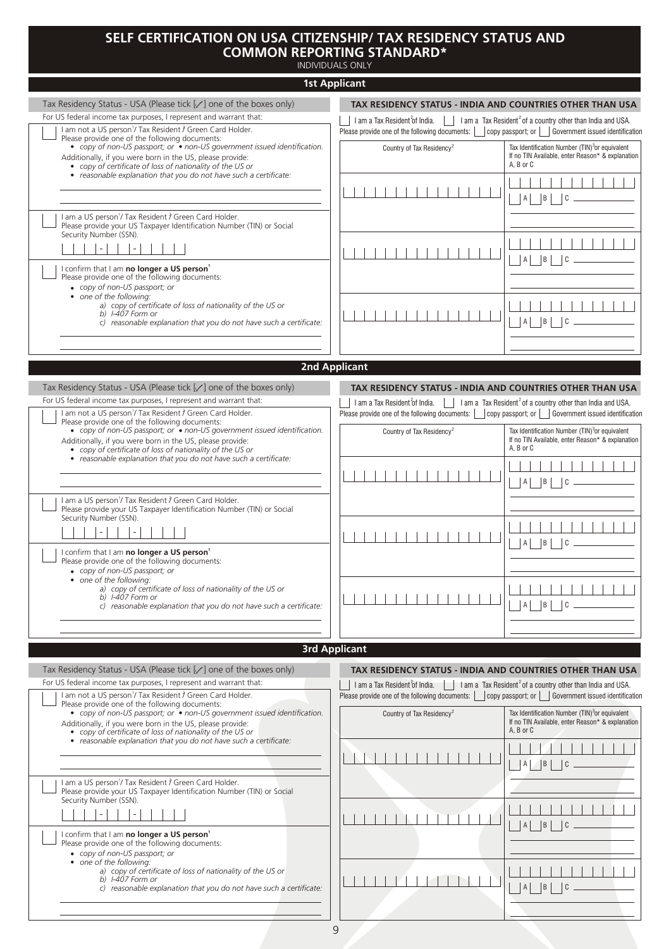# **SELF CERTIFICATION ON USA CITIZENSHIP/ TAX RESIDENCY STATUS AND COMMON REPORTING STANDARD\***

INDIVIDUALS ONLY

| INDIVIDUALS UNLT                                                                                                                                                                                                                                     |                                                                                                                                              |                                                                                                                                                       |
|------------------------------------------------------------------------------------------------------------------------------------------------------------------------------------------------------------------------------------------------------|----------------------------------------------------------------------------------------------------------------------------------------------|-------------------------------------------------------------------------------------------------------------------------------------------------------|
| <b>1st Applicant</b>                                                                                                                                                                                                                                 |                                                                                                                                              |                                                                                                                                                       |
| Tax Residency Status - USA (Please tick [/] one of the boxes only)                                                                                                                                                                                   | TAX RESIDENCY STATUS - INDIA AND COUNTRIES OTHER THAN USA                                                                                    |                                                                                                                                                       |
| For US federal income tax purposes, I represent and warrant that:<br>I am not a US person <sup>1</sup> / Tax Resident 7 Green Card Holder.                                                                                                           | I am a Tax Resident of India.<br>Please provide one of the following documents:                                                              | I am a Tax Resident <sup>2</sup> of a country other than India and USA.<br>$\vert$ copy passport; or $\vert$ $\vert$ Government issued identification |
| Please provide one of the following documents:<br>• copy of non-US passport; or • non-US government issued identification.<br>Additionally, if you were born in the US, please provide:<br>• copy of certificate of loss of nationality of the US or | Country of Tax Residency <sup>2</sup>                                                                                                        | Tax Identification Number (TIN) <sup>3</sup> or equivalent<br>If no TIN Available, enter Reason* & explanation<br>A. B or C                           |
| • reasonable explanation that you do not have such a certificate:                                                                                                                                                                                    |                                                                                                                                              | $ A $ $ B $<br>$\overline{c}$                                                                                                                         |
| I am a US person <sup>1</sup> / Tax Resident ? Green Card Holder.<br>Please provide your US Taxpayer Identification Number (TIN) or Social<br>Security Number (SSN).<br>$\blacksquare$                                                               |                                                                                                                                              |                                                                                                                                                       |
| I confirm that I am no longer a US person <sup>1</sup><br>Please provide one of the following documents:<br>• copy of non-US passport; or                                                                                                            |                                                                                                                                              | $ A $   $ B $<br>C                                                                                                                                    |
| • one of the following:<br>a) copy of certificate of loss of nationality of the US or<br>b) I-407 Form or<br>c) reasonable explanation that you do not have such a certificate:                                                                      |                                                                                                                                              | B <br>$\mathsf{A}$<br>C                                                                                                                               |
|                                                                                                                                                                                                                                                      |                                                                                                                                              |                                                                                                                                                       |
| <b>2nd Applicant</b>                                                                                                                                                                                                                                 |                                                                                                                                              |                                                                                                                                                       |
| Tax Residency Status - USA (Please tick [√] one of the boxes only)                                                                                                                                                                                   | TAX RESIDENCY STATUS - INDIA AND COUNTRIES OTHER THAN USA                                                                                    |                                                                                                                                                       |
| For US federal income tax purposes, I represent and warrant that:                                                                                                                                                                                    | I am a Tax Resident of India.                                                                                                                | I am a Tax Resident <sup>2</sup> of a country other than India and USA.                                                                               |
| I am not a US person <sup>1</sup> / Tax Resident $\hat{J}$ Green Card Holder.<br>Please provide one of the following documents:                                                                                                                      |                                                                                                                                              |                                                                                                                                                       |
| • copy of non-US passport; or • non-US government issued identification.<br>Additionally, if you were born in the US, please provide:<br>• copy of certificate of loss of nationality of the US or                                                   | Country of Tax Residency <sup>2</sup>                                                                                                        | Tax Identification Number (TIN) <sup>3</sup> or equivalent<br>If no TIN Available, enter Reason* & explanation<br>A, B or C                           |
| • reasonable explanation that you do not have such a certificate:                                                                                                                                                                                    |                                                                                                                                              | $ A $ $ B $ $ C$                                                                                                                                      |
| I am a US person <sup>1</sup> / Tax Resident f Green Card Holder.<br>Please provide your US Taxpayer Identification Number (TIN) or Social<br>Security Number (SSN).                                                                                 |                                                                                                                                              |                                                                                                                                                       |
| I confirm that I am no longer a US person'<br>Please provide one of the following documents:<br>• copy of non-US passport; or                                                                                                                        |                                                                                                                                              | $A \mid \mid B$<br>$\overline{C}$                                                                                                                     |
| • one of the following:<br>a) copy of certificate of loss of nationality of the US or<br>b) I-407 Form or<br>c) reasonable explanation that you do not have such a certificate:                                                                      |                                                                                                                                              | B <br>A<br>C                                                                                                                                          |
|                                                                                                                                                                                                                                                      |                                                                                                                                              |                                                                                                                                                       |
|                                                                                                                                                                                                                                                      | <b>3rd Applicant</b>                                                                                                                         |                                                                                                                                                       |
|                                                                                                                                                                                                                                                      |                                                                                                                                              |                                                                                                                                                       |
| Tax Residency Status - USA (Please tick [/] one of the boxes only)<br>For US federal income tax purposes, I represent and warrant that:<br>I am not a US person <sup>1</sup> / Tax Resident i Green Card Holder.                                     | TAX RESIDENCY STATUS - INDIA AND COUNTRIES OTHER THAN USA<br>I am a Tax Resident of India.<br>Please provide one of the following documents: | I am a Tax Resident <sup>2</sup> of a country other than India and USA.<br>copy passport; or     Government issued identification                     |
| Please provide one of the following documents:<br>• copy of non-US passport; or • non-US government issued identification.<br>Additionally, if you were born in the US, please provide:<br>• copy of certificate of loss of nationality of the US or | Country of Tax Residency <sup>2</sup>                                                                                                        | Tax Identification Number (TIN) <sup>3</sup> or equivalent<br>If no TIN Available, enter Reason* & explanation<br>A, B or C                           |
| • reasonable explanation that you do not have such a certificate:                                                                                                                                                                                    |                                                                                                                                              | $\vert$ B<br>Α<br>C                                                                                                                                   |
| I am a US person <sup>1</sup> / Tax Resident 1 Green Card Holder.<br>Please provide your US Taxpayer Identification Number (TIN) or Social<br>Security Number (SSN).                                                                                 |                                                                                                                                              |                                                                                                                                                       |
| I confirm that I am no longer a US person <sup>1</sup>                                                                                                                                                                                               |                                                                                                                                              | B                                                                                                                                                     |
| Please provide one of the following documents:<br>• copy of non-US passport; or<br>• one of the following:<br>a) copy of certificate of loss of nationality of the US or                                                                             |                                                                                                                                              |                                                                                                                                                       |
| b) I-407 Form or<br>c) reasonable explanation that you do not have such a certificate:                                                                                                                                                               |                                                                                                                                              | B <br>$A \mid$                                                                                                                                        |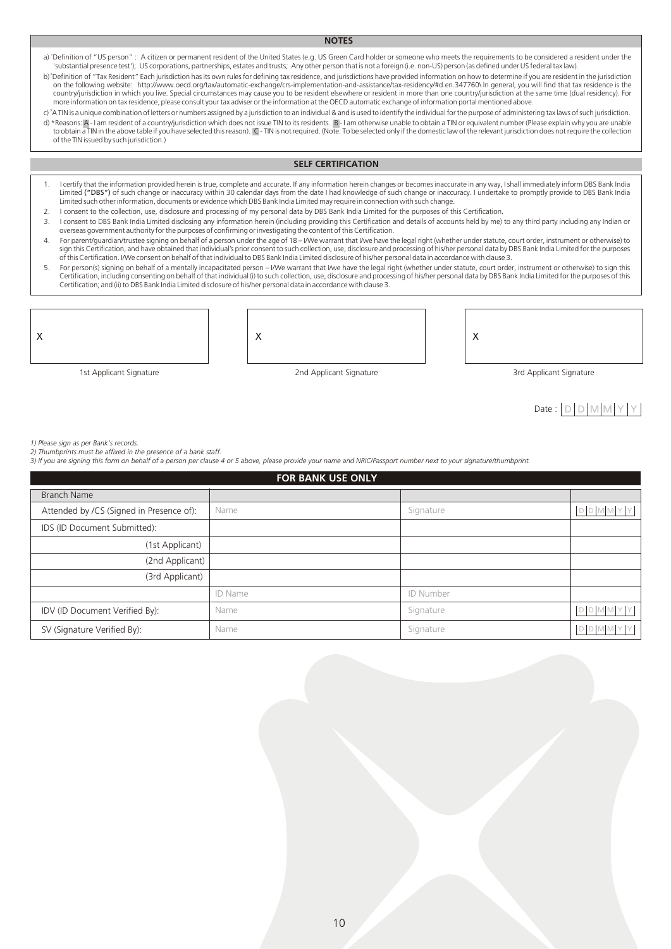#### **NOTES**

a) 'Definition of "US person" : A citizen or permanent resident of the United States (e.g. US Green Card holder or someone who meets the requirements to be considered a resident under the 'substantial presence test'); US corporations, partnerships, estates and trusts; Any other person that is not a foreign (i.e. non-US) person (as defined under US federal tax law).

b)<sup>2</sup>Definition of "Tax Resident" Each jurisdiction has its own rules for defining tax residence, and jurisdictions have provided information on how to determine if you are resident in the jurisdiction on the following website: http://www.oecd.org/tax/automatic-exchange/crs-implementation-and-assistance/tax-residency/#d.en.347760\ In general, you will find that tax residence is the country/jurisdiction in which you live. Special circumstances may cause you to be resident elsewhere or resident in more than one country/jurisdiction at the same time (dual residency). For<br>more information on tax residenc

c) <sup>3</sup>A TIN is a unique combination of letters or numbers assigned by a jurisdiction to an individual & and is used to identify the individual for the purpose of administering tax laws of such jurisdiction. d) \*Reasons: A-I am resident of a country/jurisdiction which does not issue TIN to its residents. B-I am otherwise unable to obtain a TIN or equivalent number (Please explain why you are unable to obtain a TIN in the above table if you have selected this reason). C - TIN is not required. (Note: To be selected only if the domestic law of the relevant jurisdiction does not require the collection of the TIN issued by such jurisdiction.)

### **SELF CERTIFICATION**

- 1. I certify that the information provided herein is true, complete and accurate. If any information herein changes or becomes inaccurate in any way, I shall immediately inform DBS Bank India Limited ("DBS") of such change or inaccuracy within 30 calendar days from the date I had knowledge of such change or inaccuracy. I undertake to promptly provide to DBS Bank India Limited such other information, documents or evidence which DBS Bank India Limited may require in connection with such change.
- 2. I consent to the collection, use, disclosure and processing of my personal data by DBS Bank India Limited for the purposes of this Certification.

 $\overline{\mathsf{x}}$ 

- 3. I consent to DBS Bank India Limited disclosing any information herein (including providing this Certification and details of accounts held by me) to any third party including any Indian or overseas government authority for the purposes of confirming or investigating the content of this Certification.
- 4. For parent/guardian/trustee signing on behalf of a person under the age of 18 I/We warrant that I/we have the legal right (whether under statute, court order, instrument or otherwise) to sign this Certification, and have obtained that individual's prior consent to such collection, use, disclosure and processing of his/her personal data by DBS Bank India Limited for the purposes of this Certification. I/We consent on behalf of that individual to DBS Bank India Limited disclosure of his/her personal data in accordance with clause 3.
- 5. For person(s) signing on behalf of a mentally incapacitated person I/We warrant that I/we have the legal right (whether under statute, court order, instrument or otherwise) to sign this<br>Certification, including consen Certification; and (ii) to DBS Bank India Limited disclosure of his/her personal data in accordance with clause 3.

$$
\Bigg\vert \times
$$

1st Applicant Signature 15th Applicant Signature 2nd Applicant Signature 3rd Applicant Signature 3rd Applicant Signature

X

# $Date: |D|D|M|M|Y|Y$

*1) Please sign as per Bank's records.*

*2) Thumbprints must be affixed in the presence of a bank staff.*

*3) If you are signing this form on behalf of a person per clause 4 or 5 above, please provide your name and NRIC/Passport number next to your signature/thumbprint.*

| <b>FOR BANK USE ONLY</b>                 |                |           |      |  |  |  |  |  |  |
|------------------------------------------|----------------|-----------|------|--|--|--|--|--|--|
| <b>Branch Name</b>                       |                |           |      |  |  |  |  |  |  |
| Attended by /CS (Signed in Presence of): | Name           | Signature | DDMM |  |  |  |  |  |  |
| IDS (ID Document Submitted):             |                |           |      |  |  |  |  |  |  |
| (1st Applicant)                          |                |           |      |  |  |  |  |  |  |
| (2nd Applicant)                          |                |           |      |  |  |  |  |  |  |
| (3rd Applicant)                          |                |           |      |  |  |  |  |  |  |
|                                          | <b>ID Name</b> | ID Number |      |  |  |  |  |  |  |
| IDV (ID Document Verified By):           | Name           | Signature | DDMN |  |  |  |  |  |  |
| SV (Signature Verified By):              | Name           | Signature |      |  |  |  |  |  |  |